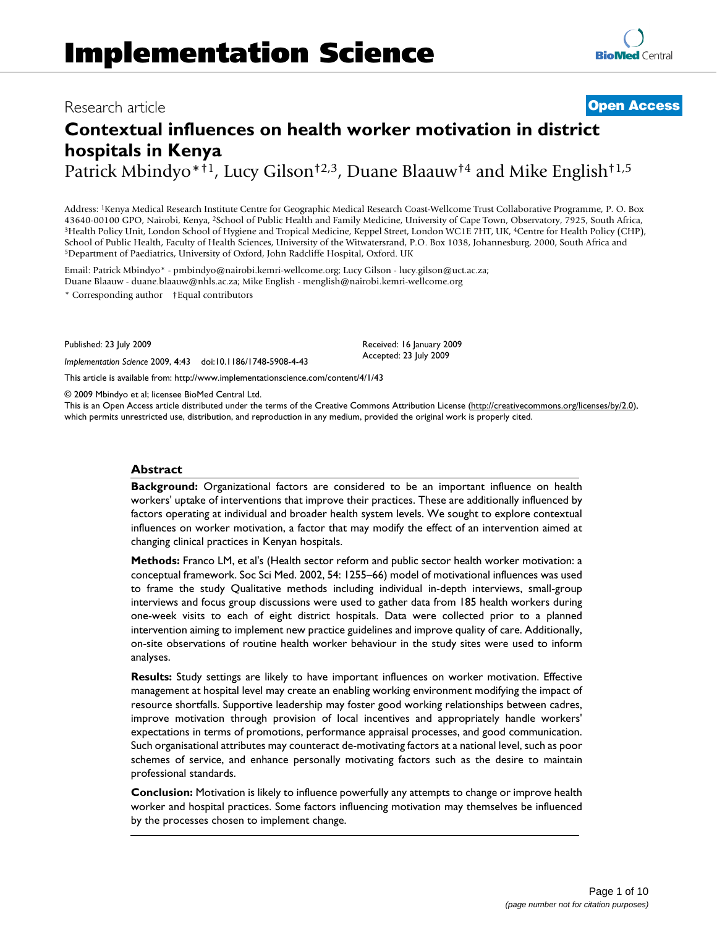# **Contextual influences on health worker motivation in district hospitals in Kenya**

Patrick Mbindyo\*<sup>†1</sup>, Lucy Gilson<sup>†2,3</sup>, Duane Blaauw<sup>†4</sup> and Mike English<sup>†1,5</sup>

Address: 1Kenya Medical Research Institute Centre for Geographic Medical Research Coast-Wellcome Trust Collaborative Programme, P. O. Box 43640-00100 GPO, Nairobi, Kenya, <sup>2</sup>School of Public Health and Family Medicine, University of Cape Town, Observatory, 7925, South Africa, <sup>3</sup>Health Policy Unit, London School of Hygiene and Tropical Medicine, Keppel Stree School of Public Health, Faculty of Health Sciences, University of the Witwatersrand, P.O. Box 1038, Johannesburg, 2000, South Africa and 5Department of Paediatrics, University of Oxford, John Radcliffe Hospital, Oxford. U

Email: Patrick Mbindyo\* - pmbindyo@nairobi.kemri-wellcome.org; Lucy Gilson - lucy.gilson@uct.ac.za; Duane Blaauw - duane.blaauw@nhls.ac.za; Mike English - menglish@nairobi.kemri-wellcome.org

\* Corresponding author †Equal contributors

Published: 23 July 2009

*Implementation Science* 2009, **4**:43 doi:10.1186/1748-5908-4-43

Received: 16 January 2009 Accepted: 23 July 2009

[This article is available from: http://www.implementationscience.com/content/4/1/43](http://www.implementationscience.com/content/4/1/43)

© 2009 Mbindyo et al; licensee BioMed Central Ltd.

This is an Open Access article distributed under the terms of the Creative Commons Attribution License [\(http://creativecommons.org/licenses/by/2.0\)](http://creativecommons.org/licenses/by/2.0), which permits unrestricted use, distribution, and reproduction in any medium, provided the original work is properly cited.

#### **Abstract**

**Background:** Organizational factors are considered to be an important influence on health workers' uptake of interventions that improve their practices. These are additionally influenced by factors operating at individual and broader health system levels. We sought to explore contextual influences on worker motivation, a factor that may modify the effect of an intervention aimed at changing clinical practices in Kenyan hospitals.

**Methods:** Franco LM, et al's (Health sector reform and public sector health worker motivation: a conceptual framework. Soc Sci Med. 2002, 54: 1255–66) model of motivational influences was used to frame the study Qualitative methods including individual in-depth interviews, small-group interviews and focus group discussions were used to gather data from 185 health workers during one-week visits to each of eight district hospitals. Data were collected prior to a planned intervention aiming to implement new practice guidelines and improve quality of care. Additionally, on-site observations of routine health worker behaviour in the study sites were used to inform analyses.

**Results:** Study settings are likely to have important influences on worker motivation. Effective management at hospital level may create an enabling working environment modifying the impact of resource shortfalls. Supportive leadership may foster good working relationships between cadres, improve motivation through provision of local incentives and appropriately handle workers' expectations in terms of promotions, performance appraisal processes, and good communication. Such organisational attributes may counteract de-motivating factors at a national level, such as poor schemes of service, and enhance personally motivating factors such as the desire to maintain professional standards.

**Conclusion:** Motivation is likely to influence powerfully any attempts to change or improve health worker and hospital practices. Some factors influencing motivation may themselves be influenced by the processes chosen to implement change.

# Research article **[Open Access](http://www.biomedcentral.com/info/about/charter/)**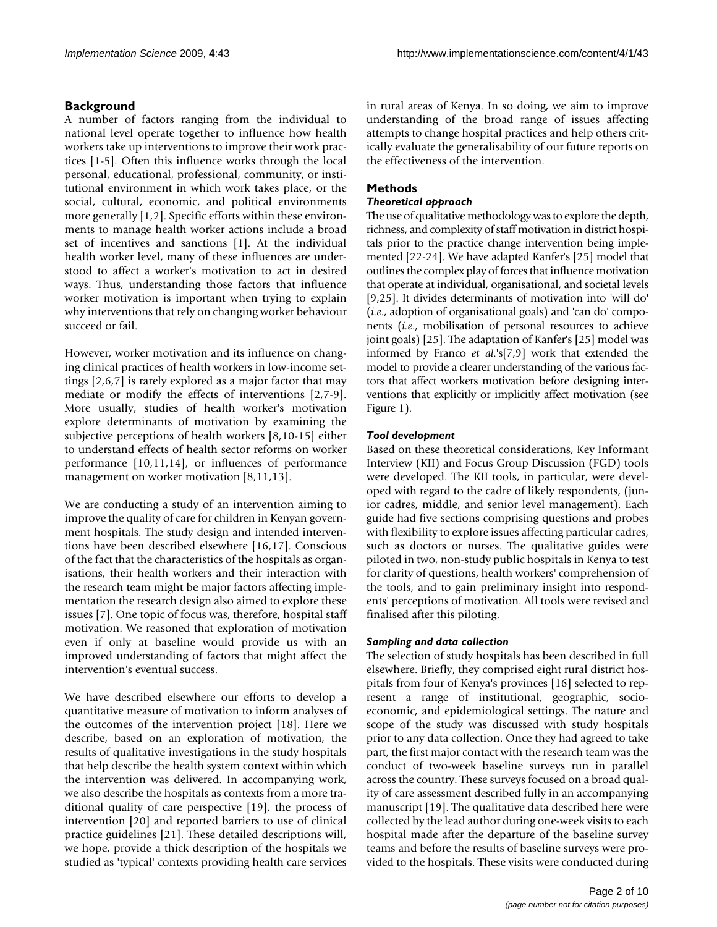# **Background**

A number of factors ranging from the individual to national level operate together to influence how health workers take up interventions to improve their work practices [1-5]. Often this influence works through the local personal, educational, professional, community, or institutional environment in which work takes place, or the social, cultural, economic, and political environments more generally [1,2]. Specific efforts within these environments to manage health worker actions include a broad set of incentives and sanctions [1]. At the individual health worker level, many of these influences are understood to affect a worker's motivation to act in desired ways. Thus, understanding those factors that influence worker motivation is important when trying to explain why interventions that rely on changing worker behaviour succeed or fail.

However, worker motivation and its influence on changing clinical practices of health workers in low-income settings [2,6,7] is rarely explored as a major factor that may mediate or modify the effects of interventions [2,7-9]. More usually, studies of health worker's motivation explore determinants of motivation by examining the subjective perceptions of health workers [8,10-15] either to understand effects of health sector reforms on worker performance [10,11,14], or influences of performance management on worker motivation [8,11,13].

We are conducting a study of an intervention aiming to improve the quality of care for children in Kenyan government hospitals. The study design and intended interventions have been described elsewhere [16,17]. Conscious of the fact that the characteristics of the hospitals as organisations, their health workers and their interaction with the research team might be major factors affecting implementation the research design also aimed to explore these issues [7]. One topic of focus was, therefore, hospital staff motivation. We reasoned that exploration of motivation even if only at baseline would provide us with an improved understanding of factors that might affect the intervention's eventual success.

We have described elsewhere our efforts to develop a quantitative measure of motivation to inform analyses of the outcomes of the intervention project [18]. Here we describe, based on an exploration of motivation, the results of qualitative investigations in the study hospitals that help describe the health system context within which the intervention was delivered. In accompanying work, we also describe the hospitals as contexts from a more traditional quality of care perspective [19], the process of intervention [20] and reported barriers to use of clinical practice guidelines [21]. These detailed descriptions will, we hope, provide a thick description of the hospitals we studied as 'typical' contexts providing health care services

in rural areas of Kenya. In so doing, we aim to improve understanding of the broad range of issues affecting attempts to change hospital practices and help others critically evaluate the generalisability of our future reports on the effectiveness of the intervention.

# **Methods**

# *Theoretical approach*

The use of qualitative methodology was to explore the depth, richness, and complexity of staff motivation in district hospitals prior to the practice change intervention being implemented [22-24]. We have adapted Kanfer's [25] model that outlines the complex play of forces that influence motivation that operate at individual, organisational, and societal levels [9,25]. It divides determinants of motivation into 'will do' (*i.e*., adoption of organisational goals) and 'can do' components (*i.e*., mobilisation of personal resources to achieve joint goals) [25]. The adaptation of Kanfer's [25] model was informed by Franco *et al*.'s[7,9] work that extended the model to provide a clearer understanding of the various factors that affect workers motivation before designing interventions that explicitly or implicitly affect motivation (see Figure 1).

# *Tool development*

Based on these theoretical considerations, Key Informant Interview (KII) and Focus Group Discussion (FGD) tools were developed. The KII tools, in particular, were developed with regard to the cadre of likely respondents, (junior cadres, middle, and senior level management). Each guide had five sections comprising questions and probes with flexibility to explore issues affecting particular cadres, such as doctors or nurses. The qualitative guides were piloted in two, non-study public hospitals in Kenya to test for clarity of questions, health workers' comprehension of the tools, and to gain preliminary insight into respondents' perceptions of motivation. All tools were revised and finalised after this piloting.

# *Sampling and data collection*

The selection of study hospitals has been described in full elsewhere. Briefly, they comprised eight rural district hospitals from four of Kenya's provinces [16] selected to represent a range of institutional, geographic, socioeconomic, and epidemiological settings. The nature and scope of the study was discussed with study hospitals prior to any data collection. Once they had agreed to take part, the first major contact with the research team was the conduct of two-week baseline surveys run in parallel across the country. These surveys focused on a broad quality of care assessment described fully in an accompanying manuscript [19]. The qualitative data described here were collected by the lead author during one-week visits to each hospital made after the departure of the baseline survey teams and before the results of baseline surveys were provided to the hospitals. These visits were conducted during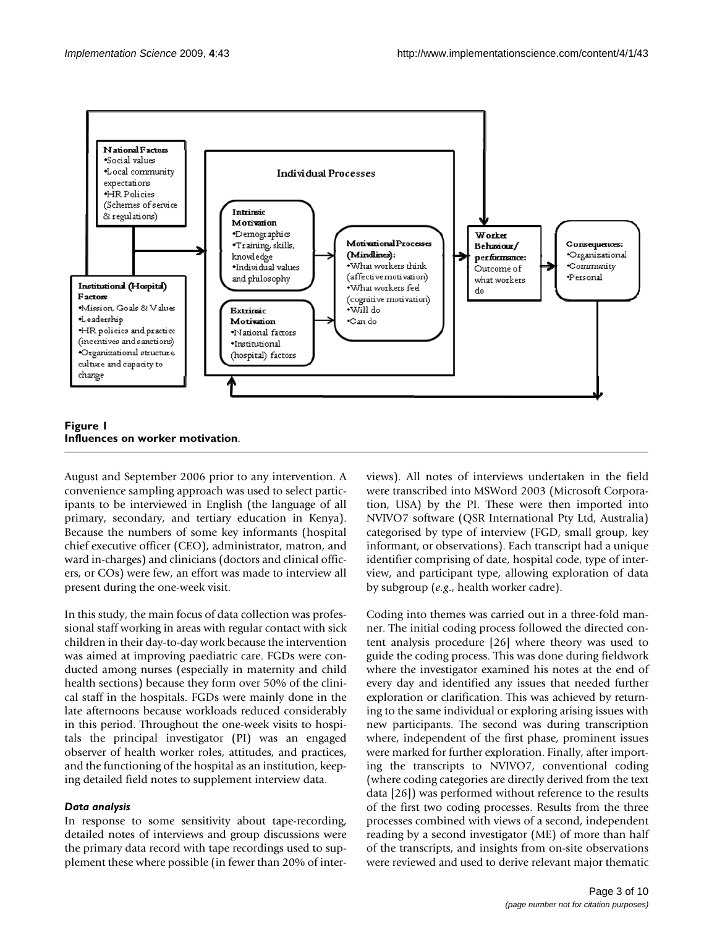

**Influences on worker motivation**.

August and September 2006 prior to any intervention. A convenience sampling approach was used to select participants to be interviewed in English (the language of all primary, secondary, and tertiary education in Kenya). Because the numbers of some key informants (hospital chief executive officer (CEO), administrator, matron, and ward in-charges) and clinicians (doctors and clinical officers, or COs) were few, an effort was made to interview all present during the one-week visit.

In this study, the main focus of data collection was professional staff working in areas with regular contact with sick children in their day-to-day work because the intervention was aimed at improving paediatric care. FGDs were conducted among nurses (especially in maternity and child health sections) because they form over 50% of the clinical staff in the hospitals. FGDs were mainly done in the late afternoons because workloads reduced considerably in this period. Throughout the one-week visits to hospitals the principal investigator (PI) was an engaged observer of health worker roles, attitudes, and practices, and the functioning of the hospital as an institution, keeping detailed field notes to supplement interview data.

# *Data analysis*

In response to some sensitivity about tape-recording, detailed notes of interviews and group discussions were the primary data record with tape recordings used to supplement these where possible (in fewer than 20% of interviews). All notes of interviews undertaken in the field were transcribed into MSWord 2003 (Microsoft Corporation, USA) by the PI. These were then imported into NVIVO7 software (QSR International Pty Ltd, Australia) categorised by type of interview (FGD, small group, key informant, or observations). Each transcript had a unique identifier comprising of date, hospital code, type of interview, and participant type, allowing exploration of data by subgroup (*e.g*., health worker cadre).

Coding into themes was carried out in a three-fold manner. The initial coding process followed the directed content analysis procedure [26] where theory was used to guide the coding process. This was done during fieldwork where the investigator examined his notes at the end of every day and identified any issues that needed further exploration or clarification. This was achieved by returning to the same individual or exploring arising issues with new participants. The second was during transcription where, independent of the first phase, prominent issues were marked for further exploration. Finally, after importing the transcripts to NVIVO7, conventional coding (where coding categories are directly derived from the text data [26]) was performed without reference to the results of the first two coding processes. Results from the three processes combined with views of a second, independent reading by a second investigator (ME) of more than half of the transcripts, and insights from on-site observations were reviewed and used to derive relevant major thematic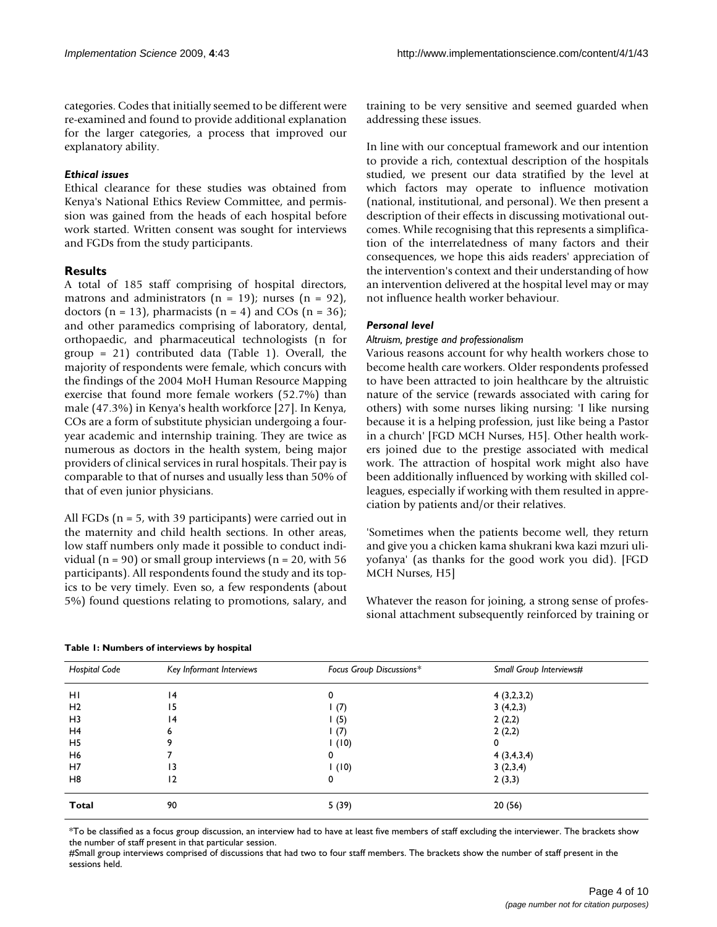categories. Codes that initially seemed to be different were re-examined and found to provide additional explanation for the larger categories, a process that improved our explanatory ability.

### *Ethical issues*

Ethical clearance for these studies was obtained from Kenya's National Ethics Review Committee, and permission was gained from the heads of each hospital before work started. Written consent was sought for interviews and FGDs from the study participants.

# **Results**

A total of 185 staff comprising of hospital directors, matrons and administrators  $(n = 19)$ ; nurses  $(n = 92)$ , doctors  $(n = 13)$ , pharmacists  $(n = 4)$  and COs  $(n = 36)$ ; and other paramedics comprising of laboratory, dental, orthopaedic, and pharmaceutical technologists (n for group = 21) contributed data (Table 1). Overall, the majority of respondents were female, which concurs with the findings of the 2004 MoH Human Resource Mapping exercise that found more female workers (52.7%) than male (47.3%) in Kenya's health workforce [27]. In Kenya, COs are a form of substitute physician undergoing a fouryear academic and internship training. They are twice as numerous as doctors in the health system, being major providers of clinical services in rural hospitals. Their pay is comparable to that of nurses and usually less than 50% of that of even junior physicians.

All FGDs ( $n = 5$ , with 39 participants) were carried out in the maternity and child health sections. In other areas, low staff numbers only made it possible to conduct individual ( $n = 90$ ) or small group interviews ( $n = 20$ , with 56 participants). All respondents found the study and its topics to be very timely. Even so, a few respondents (about 5%) found questions relating to promotions, salary, and training to be very sensitive and seemed guarded when addressing these issues.

In line with our conceptual framework and our intention to provide a rich, contextual description of the hospitals studied, we present our data stratified by the level at which factors may operate to influence motivation (national, institutional, and personal). We then present a description of their effects in discussing motivational outcomes. While recognising that this represents a simplification of the interrelatedness of many factors and their consequences, we hope this aids readers' appreciation of the intervention's context and their understanding of how an intervention delivered at the hospital level may or may not influence health worker behaviour.

# *Personal level*

#### *Altruism, prestige and professionalism*

Various reasons account for why health workers chose to become health care workers. Older respondents professed to have been attracted to join healthcare by the altruistic nature of the service (rewards associated with caring for others) with some nurses liking nursing: 'I like nursing because it is a helping profession, just like being a Pastor in a church' [FGD MCH Nurses, H5]. Other health workers joined due to the prestige associated with medical work. The attraction of hospital work might also have been additionally influenced by working with skilled colleagues, especially if working with them resulted in appreciation by patients and/or their relatives.

'Sometimes when the patients become well, they return and give you a chicken kama shukrani kwa kazi mzuri uliyofanya' (as thanks for the good work you did). [FGD MCH Nurses, H5]

Whatever the reason for joining, a strong sense of professional attachment subsequently reinforced by training or

| <b>Hospital Code</b> | Key Informant Interviews | Focus Group Discussions* | Small Group Interviews# |
|----------------------|--------------------------|--------------------------|-------------------------|
| HI                   | 14                       | 0                        | 4(3,2,3,2)              |
| H <sub>2</sub>       | 15                       | l (7)                    | 3(4,2,3)                |
| H <sub>3</sub>       | 14                       | (5)                      | 2(2,2)                  |
| H <sub>4</sub>       |                          | l (7)                    | 2(2,2)                  |
| H <sub>5</sub>       |                          | 1(10)                    | 0                       |
| H6                   |                          | 0                        | 4(3,4,3,4)              |
| H7                   | 13                       | (10)                     | 3(2,3,4)                |
| H <sub>8</sub>       | 12                       | 0                        | 2(3,3)                  |
| <b>Total</b>         | 90                       | 5(39)                    | 20(56)                  |

#### **Table 1: Numbers of interviews by hospital**

\*To be classified as a focus group discussion, an interview had to have at least five members of staff excluding the interviewer. The brackets show the number of staff present in that particular session.

#Small group interviews comprised of discussions that had two to four staff members. The brackets show the number of staff present in the sessions held.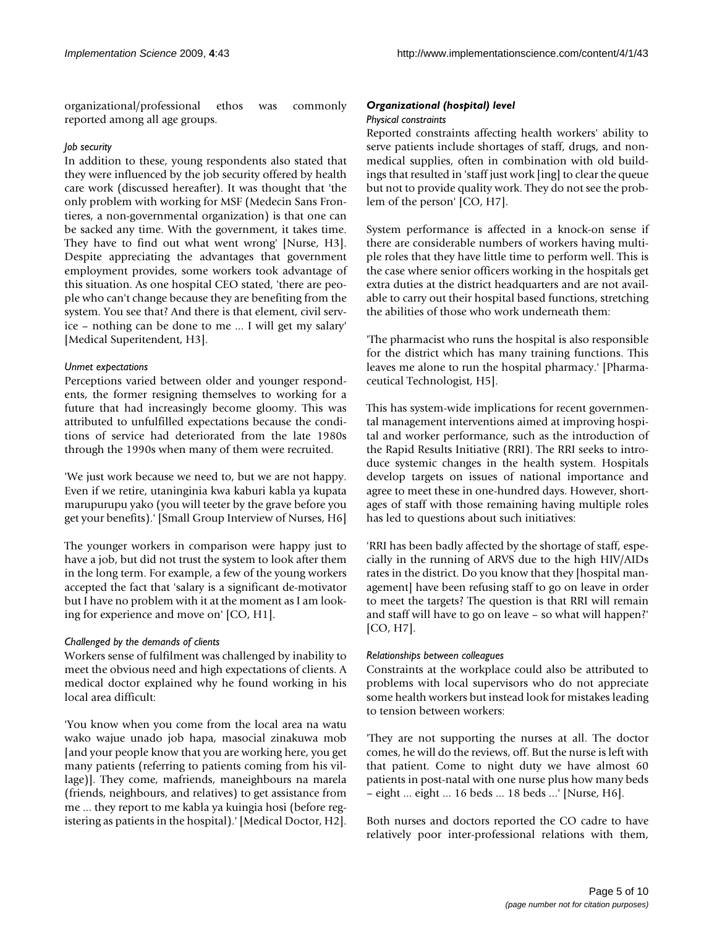organizational/professional ethos was commonly reported among all age groups.

# *Job security*

In addition to these, young respondents also stated that they were influenced by the job security offered by health care work (discussed hereafter). It was thought that 'the only problem with working for MSF (Medecin Sans Frontieres, a non-governmental organization) is that one can be sacked any time. With the government, it takes time. They have to find out what went wrong' [Nurse, H3]. Despite appreciating the advantages that government employment provides, some workers took advantage of this situation. As one hospital CEO stated, 'there are people who can't change because they are benefiting from the system. You see that? And there is that element, civil service – nothing can be done to me ... I will get my salary' [Medical Superitendent, H3].

# *Unmet expectations*

Perceptions varied between older and younger respondents, the former resigning themselves to working for a future that had increasingly become gloomy. This was attributed to unfulfilled expectations because the conditions of service had deteriorated from the late 1980s through the 1990s when many of them were recruited.

'We just work because we need to, but we are not happy. Even if we retire, utaninginia kwa kaburi kabla ya kupata marupurupu yako (you will teeter by the grave before you get your benefits).' [Small Group Interview of Nurses, H6]

The younger workers in comparison were happy just to have a job, but did not trust the system to look after them in the long term. For example, a few of the young workers accepted the fact that 'salary is a significant de-motivator but I have no problem with it at the moment as I am looking for experience and move on' [CO, H1].

# *Challenged by the demands of clients*

Workers sense of fulfilment was challenged by inability to meet the obvious need and high expectations of clients. A medical doctor explained why he found working in his local area difficult:

'You know when you come from the local area na watu wako wajue unado job hapa, masocial zinakuwa mob [and your people know that you are working here, you get many patients (referring to patients coming from his village)]. They come, mafriends, maneighbours na marela (friends, neighbours, and relatives) to get assistance from me ... they report to me kabla ya kuingia hosi (before registering as patients in the hospital).' [Medical Doctor, H2].

# *Organizational (hospital) level*

### *Physical constraints*

Reported constraints affecting health workers' ability to serve patients include shortages of staff, drugs, and nonmedical supplies, often in combination with old buildings that resulted in 'staff just work [ing] to clear the queue but not to provide quality work. They do not see the problem of the person' [CO, H7].

System performance is affected in a knock-on sense if there are considerable numbers of workers having multiple roles that they have little time to perform well. This is the case where senior officers working in the hospitals get extra duties at the district headquarters and are not available to carry out their hospital based functions, stretching the abilities of those who work underneath them:

'The pharmacist who runs the hospital is also responsible for the district which has many training functions. This leaves me alone to run the hospital pharmacy.' [Pharmaceutical Technologist, H5].

This has system-wide implications for recent governmental management interventions aimed at improving hospital and worker performance, such as the introduction of the Rapid Results Initiative (RRI). The RRI seeks to introduce systemic changes in the health system. Hospitals develop targets on issues of national importance and agree to meet these in one-hundred days. However, shortages of staff with those remaining having multiple roles has led to questions about such initiatives:

'RRI has been badly affected by the shortage of staff, especially in the running of ARVS due to the high HIV/AIDs rates in the district. Do you know that they [hospital management] have been refusing staff to go on leave in order to meet the targets? The question is that RRI will remain and staff will have to go on leave – so what will happen?' [CO, H7].

# *Relationships between colleagues*

Constraints at the workplace could also be attributed to problems with local supervisors who do not appreciate some health workers but instead look for mistakes leading to tension between workers:

'They are not supporting the nurses at all. The doctor comes, he will do the reviews, off. But the nurse is left with that patient. Come to night duty we have almost 60 patients in post-natal with one nurse plus how many beds – eight ... eight ... 16 beds ... 18 beds ...' [Nurse, H6].

Both nurses and doctors reported the CO cadre to have relatively poor inter-professional relations with them,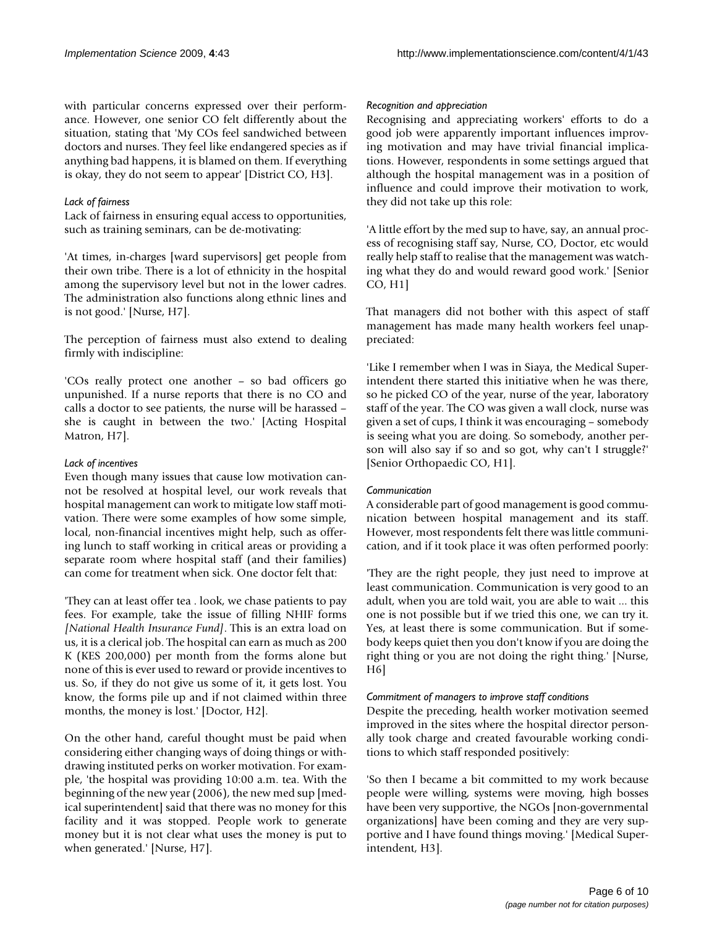with particular concerns expressed over their performance. However, one senior CO felt differently about the situation, stating that 'My COs feel sandwiched between doctors and nurses. They feel like endangered species as if anything bad happens, it is blamed on them. If everything is okay, they do not seem to appear' [District CO, H3].

#### *Lack of fairness*

Lack of fairness in ensuring equal access to opportunities, such as training seminars, can be de-motivating:

'At times, in-charges [ward supervisors] get people from their own tribe. There is a lot of ethnicity in the hospital among the supervisory level but not in the lower cadres. The administration also functions along ethnic lines and is not good.' [Nurse, H7].

The perception of fairness must also extend to dealing firmly with indiscipline:

'COs really protect one another – so bad officers go unpunished. If a nurse reports that there is no CO and calls a doctor to see patients, the nurse will be harassed – she is caught in between the two.' [Acting Hospital Matron, H7].

#### *Lack of incentives*

Even though many issues that cause low motivation cannot be resolved at hospital level, our work reveals that hospital management can work to mitigate low staff motivation. There were some examples of how some simple, local, non-financial incentives might help, such as offering lunch to staff working in critical areas or providing a separate room where hospital staff (and their families) can come for treatment when sick. One doctor felt that:

'They can at least offer tea . look, we chase patients to pay fees. For example, take the issue of filling NHIF forms *[National Health Insurance Fund]*. This is an extra load on us, it is a clerical job. The hospital can earn as much as 200 K (KES 200,000) per month from the forms alone but none of this is ever used to reward or provide incentives to us. So, if they do not give us some of it, it gets lost. You know, the forms pile up and if not claimed within three months, the money is lost.' [Doctor, H2].

On the other hand, careful thought must be paid when considering either changing ways of doing things or withdrawing instituted perks on worker motivation. For example, 'the hospital was providing 10:00 a.m. tea. With the beginning of the new year (2006), the new med sup [medical superintendent] said that there was no money for this facility and it was stopped. People work to generate money but it is not clear what uses the money is put to when generated.' [Nurse, H7].

#### *Recognition and appreciation*

Recognising and appreciating workers' efforts to do a good job were apparently important influences improving motivation and may have trivial financial implications. However, respondents in some settings argued that although the hospital management was in a position of influence and could improve their motivation to work, they did not take up this role:

'A little effort by the med sup to have, say, an annual process of recognising staff say, Nurse, CO, Doctor, etc would really help staff to realise that the management was watching what they do and would reward good work.' [Senior CO, H1]

That managers did not bother with this aspect of staff management has made many health workers feel unappreciated:

'Like I remember when I was in Siaya, the Medical Superintendent there started this initiative when he was there, so he picked CO of the year, nurse of the year, laboratory staff of the year. The CO was given a wall clock, nurse was given a set of cups, I think it was encouraging – somebody is seeing what you are doing. So somebody, another person will also say if so and so got, why can't I struggle?' [Senior Orthopaedic CO, H1].

#### *Communication*

A considerable part of good management is good communication between hospital management and its staff. However, most respondents felt there was little communication, and if it took place it was often performed poorly:

'They are the right people, they just need to improve at least communication. Communication is very good to an adult, when you are told wait, you are able to wait ... this one is not possible but if we tried this one, we can try it. Yes, at least there is some communication. But if somebody keeps quiet then you don't know if you are doing the right thing or you are not doing the right thing.' [Nurse, H6]

#### *Commitment of managers to improve staff conditions*

Despite the preceding, health worker motivation seemed improved in the sites where the hospital director personally took charge and created favourable working conditions to which staff responded positively:

'So then I became a bit committed to my work because people were willing, systems were moving, high bosses have been very supportive, the NGOs [non-governmental organizations] have been coming and they are very supportive and I have found things moving.' [Medical Superintendent, H3].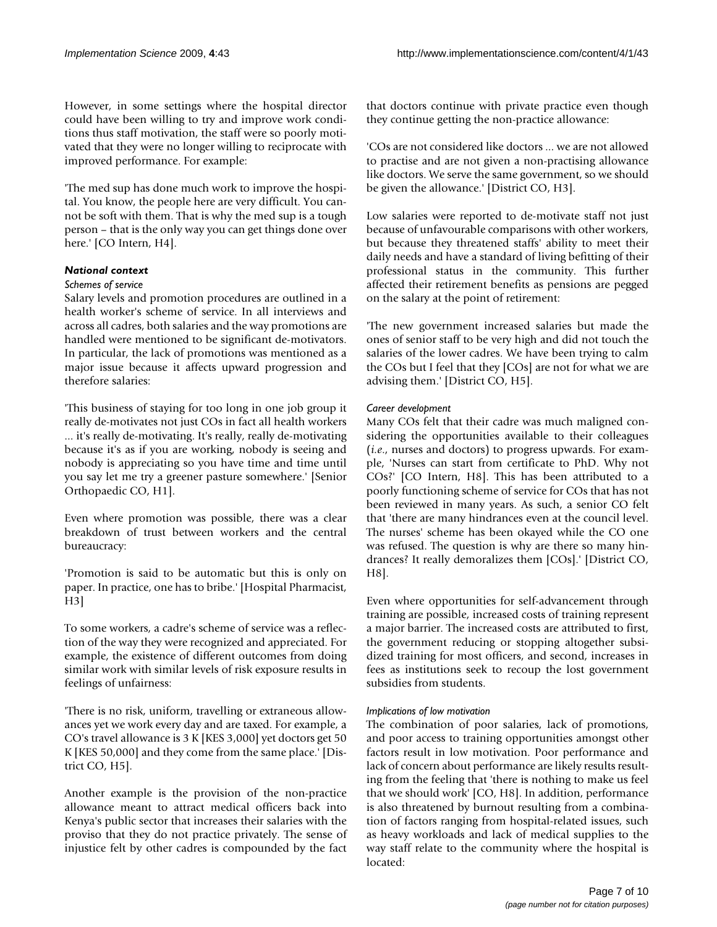However, in some settings where the hospital director could have been willing to try and improve work conditions thus staff motivation, the staff were so poorly motivated that they were no longer willing to reciprocate with improved performance. For example:

'The med sup has done much work to improve the hospital. You know, the people here are very difficult. You cannot be soft with them. That is why the med sup is a tough person – that is the only way you can get things done over here.' [CO Intern, H4].

#### *National context*

#### *Schemes of service*

Salary levels and promotion procedures are outlined in a health worker's scheme of service. In all interviews and across all cadres, both salaries and the way promotions are handled were mentioned to be significant de-motivators. In particular, the lack of promotions was mentioned as a major issue because it affects upward progression and therefore salaries:

'This business of staying for too long in one job group it really de-motivates not just COs in fact all health workers ... it's really de-motivating. It's really, really de-motivating because it's as if you are working, nobody is seeing and nobody is appreciating so you have time and time until you say let me try a greener pasture somewhere.' [Senior Orthopaedic CO, H1].

Even where promotion was possible, there was a clear breakdown of trust between workers and the central bureaucracy:

'Promotion is said to be automatic but this is only on paper. In practice, one has to bribe.' [Hospital Pharmacist, H3]

To some workers, a cadre's scheme of service was a reflection of the way they were recognized and appreciated. For example, the existence of different outcomes from doing similar work with similar levels of risk exposure results in feelings of unfairness:

'There is no risk, uniform, travelling or extraneous allowances yet we work every day and are taxed. For example, a CO's travel allowance is 3 K [KES 3,000] yet doctors get 50 K [KES 50,000] and they come from the same place.' [District CO, H5].

Another example is the provision of the non-practice allowance meant to attract medical officers back into Kenya's public sector that increases their salaries with the proviso that they do not practice privately. The sense of injustice felt by other cadres is compounded by the fact that doctors continue with private practice even though they continue getting the non-practice allowance:

'COs are not considered like doctors ... we are not allowed to practise and are not given a non-practising allowance like doctors. We serve the same government, so we should be given the allowance.' [District CO, H3].

Low salaries were reported to de-motivate staff not just because of unfavourable comparisons with other workers, but because they threatened staffs' ability to meet their daily needs and have a standard of living befitting of their professional status in the community. This further affected their retirement benefits as pensions are pegged on the salary at the point of retirement:

'The new government increased salaries but made the ones of senior staff to be very high and did not touch the salaries of the lower cadres. We have been trying to calm the COs but I feel that they [COs] are not for what we are advising them.' [District CO, H5].

#### *Career development*

Many COs felt that their cadre was much maligned considering the opportunities available to their colleagues (*i.e*., nurses and doctors) to progress upwards. For example, 'Nurses can start from certificate to PhD. Why not COs?' [CO Intern, H8]. This has been attributed to a poorly functioning scheme of service for COs that has not been reviewed in many years. As such, a senior CO felt that 'there are many hindrances even at the council level. The nurses' scheme has been okayed while the CO one was refused. The question is why are there so many hindrances? It really demoralizes them [COs].' [District CO, H8].

Even where opportunities for self-advancement through training are possible, increased costs of training represent a major barrier. The increased costs are attributed to first, the government reducing or stopping altogether subsidized training for most officers, and second, increases in fees as institutions seek to recoup the lost government subsidies from students.

#### *Implications of low motivation*

The combination of poor salaries, lack of promotions, and poor access to training opportunities amongst other factors result in low motivation. Poor performance and lack of concern about performance are likely results resulting from the feeling that 'there is nothing to make us feel that we should work' [CO, H8]. In addition, performance is also threatened by burnout resulting from a combination of factors ranging from hospital-related issues, such as heavy workloads and lack of medical supplies to the way staff relate to the community where the hospital is located: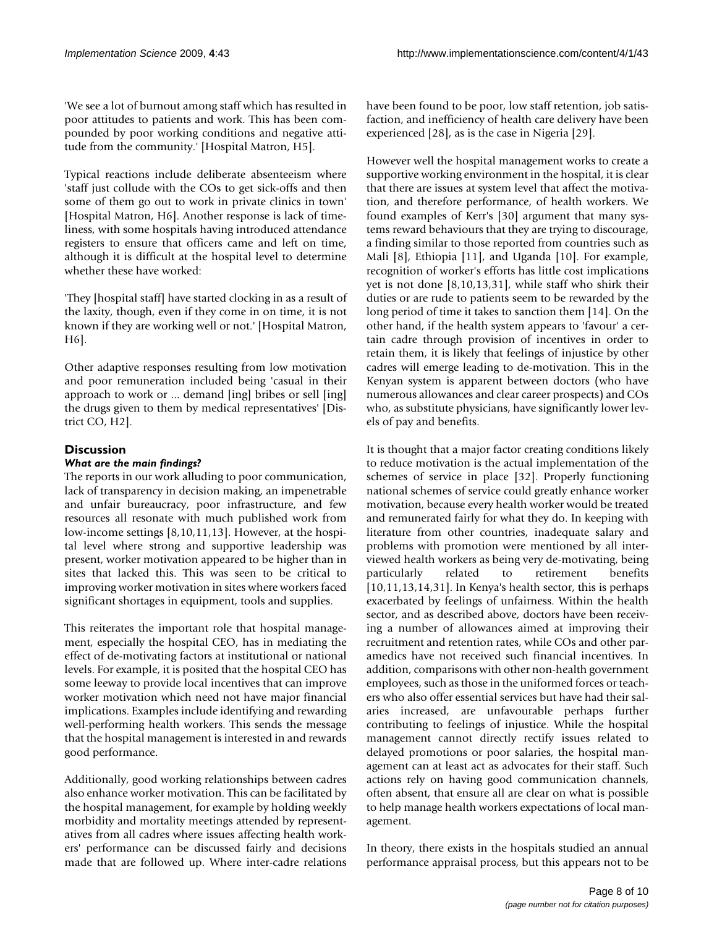'We see a lot of burnout among staff which has resulted in poor attitudes to patients and work. This has been compounded by poor working conditions and negative attitude from the community.' [Hospital Matron, H5].

Typical reactions include deliberate absenteeism where 'staff just collude with the COs to get sick-offs and then some of them go out to work in private clinics in town' [Hospital Matron, H6]. Another response is lack of timeliness, with some hospitals having introduced attendance registers to ensure that officers came and left on time, although it is difficult at the hospital level to determine whether these have worked:

'They [hospital staff] have started clocking in as a result of the laxity, though, even if they come in on time, it is not known if they are working well or not.' [Hospital Matron, H6].

Other adaptive responses resulting from low motivation and poor remuneration included being 'casual in their approach to work or ... demand [ing] bribes or sell [ing] the drugs given to them by medical representatives' [District CO, H2].

# **Discussion**

# *What are the main findings?*

The reports in our work alluding to poor communication, lack of transparency in decision making, an impenetrable and unfair bureaucracy, poor infrastructure, and few resources all resonate with much published work from low-income settings [8,10,11,13]. However, at the hospital level where strong and supportive leadership was present, worker motivation appeared to be higher than in sites that lacked this. This was seen to be critical to improving worker motivation in sites where workers faced significant shortages in equipment, tools and supplies.

This reiterates the important role that hospital management, especially the hospital CEO, has in mediating the effect of de-motivating factors at institutional or national levels. For example, it is posited that the hospital CEO has some leeway to provide local incentives that can improve worker motivation which need not have major financial implications. Examples include identifying and rewarding well-performing health workers. This sends the message that the hospital management is interested in and rewards good performance.

Additionally, good working relationships between cadres also enhance worker motivation. This can be facilitated by the hospital management, for example by holding weekly morbidity and mortality meetings attended by representatives from all cadres where issues affecting health workers' performance can be discussed fairly and decisions made that are followed up. Where inter-cadre relations have been found to be poor, low staff retention, job satisfaction, and inefficiency of health care delivery have been experienced [28], as is the case in Nigeria [29].

However well the hospital management works to create a supportive working environment in the hospital, it is clear that there are issues at system level that affect the motivation, and therefore performance, of health workers. We found examples of Kerr's [30] argument that many systems reward behaviours that they are trying to discourage, a finding similar to those reported from countries such as Mali [8], Ethiopia [11], and Uganda [10]. For example, recognition of worker's efforts has little cost implications yet is not done [8,10,13,31], while staff who shirk their duties or are rude to patients seem to be rewarded by the long period of time it takes to sanction them [14]. On the other hand, if the health system appears to 'favour' a certain cadre through provision of incentives in order to retain them, it is likely that feelings of injustice by other cadres will emerge leading to de-motivation. This in the Kenyan system is apparent between doctors (who have numerous allowances and clear career prospects) and COs who, as substitute physicians, have significantly lower levels of pay and benefits.

It is thought that a major factor creating conditions likely to reduce motivation is the actual implementation of the schemes of service in place [32]. Properly functioning national schemes of service could greatly enhance worker motivation, because every health worker would be treated and remunerated fairly for what they do. In keeping with literature from other countries, inadequate salary and problems with promotion were mentioned by all interviewed health workers as being very de-motivating, being particularly related to retirement benefits [10,11,13,14,31]. In Kenya's health sector, this is perhaps exacerbated by feelings of unfairness. Within the health sector, and as described above, doctors have been receiving a number of allowances aimed at improving their recruitment and retention rates, while COs and other paramedics have not received such financial incentives. In addition, comparisons with other non-health government employees, such as those in the uniformed forces or teachers who also offer essential services but have had their salaries increased, are unfavourable perhaps further contributing to feelings of injustice. While the hospital management cannot directly rectify issues related to delayed promotions or poor salaries, the hospital management can at least act as advocates for their staff. Such actions rely on having good communication channels, often absent, that ensure all are clear on what is possible to help manage health workers expectations of local management.

In theory, there exists in the hospitals studied an annual performance appraisal process, but this appears not to be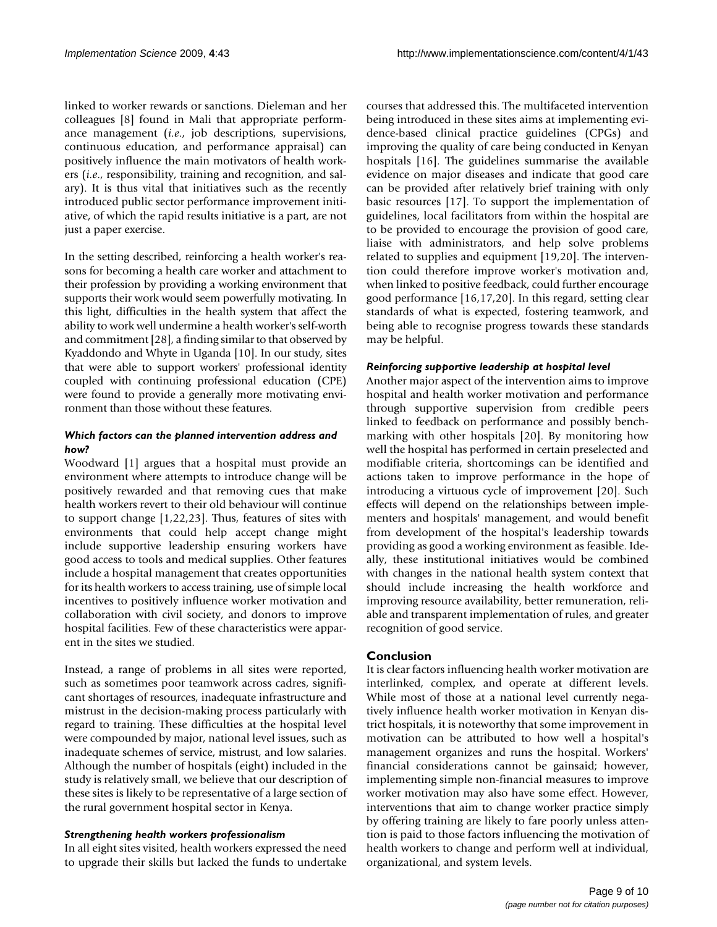linked to worker rewards or sanctions. Dieleman and her colleagues [8] found in Mali that appropriate performance management (*i.e*., job descriptions, supervisions, continuous education, and performance appraisal) can positively influence the main motivators of health workers (*i.e*., responsibility, training and recognition, and salary). It is thus vital that initiatives such as the recently introduced public sector performance improvement initiative, of which the rapid results initiative is a part, are not just a paper exercise.

In the setting described, reinforcing a health worker's reasons for becoming a health care worker and attachment to their profession by providing a working environment that supports their work would seem powerfully motivating. In this light, difficulties in the health system that affect the ability to work well undermine a health worker's self-worth and commitment [28], a finding similar to that observed by Kyaddondo and Whyte in Uganda [10]. In our study, sites that were able to support workers' professional identity coupled with continuing professional education (CPE) were found to provide a generally more motivating environment than those without these features.

# *Which factors can the planned intervention address and how?*

Woodward [1] argues that a hospital must provide an environment where attempts to introduce change will be positively rewarded and that removing cues that make health workers revert to their old behaviour will continue to support change [1,22,23]. Thus, features of sites with environments that could help accept change might include supportive leadership ensuring workers have good access to tools and medical supplies. Other features include a hospital management that creates opportunities for its health workers to access training, use of simple local incentives to positively influence worker motivation and collaboration with civil society, and donors to improve hospital facilities. Few of these characteristics were apparent in the sites we studied.

Instead, a range of problems in all sites were reported, such as sometimes poor teamwork across cadres, significant shortages of resources, inadequate infrastructure and mistrust in the decision-making process particularly with regard to training. These difficulties at the hospital level were compounded by major, national level issues, such as inadequate schemes of service, mistrust, and low salaries. Although the number of hospitals (eight) included in the study is relatively small, we believe that our description of these sites is likely to be representative of a large section of the rural government hospital sector in Kenya.

# *Strengthening health workers professionalism*

In all eight sites visited, health workers expressed the need to upgrade their skills but lacked the funds to undertake courses that addressed this. The multifaceted intervention being introduced in these sites aims at implementing evidence-based clinical practice guidelines (CPGs) and improving the quality of care being conducted in Kenyan hospitals [16]. The guidelines summarise the available evidence on major diseases and indicate that good care can be provided after relatively brief training with only basic resources [17]. To support the implementation of guidelines, local facilitators from within the hospital are to be provided to encourage the provision of good care, liaise with administrators, and help solve problems related to supplies and equipment [19,20]. The intervention could therefore improve worker's motivation and, when linked to positive feedback, could further encourage good performance [16,17,20]. In this regard, setting clear standards of what is expected, fostering teamwork, and being able to recognise progress towards these standards may be helpful.

# *Reinforcing supportive leadership at hospital level*

Another major aspect of the intervention aims to improve hospital and health worker motivation and performance through supportive supervision from credible peers linked to feedback on performance and possibly benchmarking with other hospitals [20]. By monitoring how well the hospital has performed in certain preselected and modifiable criteria, shortcomings can be identified and actions taken to improve performance in the hope of introducing a virtuous cycle of improvement [20]. Such effects will depend on the relationships between implementers and hospitals' management, and would benefit from development of the hospital's leadership towards providing as good a working environment as feasible. Ideally, these institutional initiatives would be combined with changes in the national health system context that should include increasing the health workforce and improving resource availability, better remuneration, reliable and transparent implementation of rules, and greater recognition of good service.

# **Conclusion**

It is clear factors influencing health worker motivation are interlinked, complex, and operate at different levels. While most of those at a national level currently negatively influence health worker motivation in Kenyan district hospitals, it is noteworthy that some improvement in motivation can be attributed to how well a hospital's management organizes and runs the hospital. Workers' financial considerations cannot be gainsaid; however, implementing simple non-financial measures to improve worker motivation may also have some effect. However, interventions that aim to change worker practice simply by offering training are likely to fare poorly unless attention is paid to those factors influencing the motivation of health workers to change and perform well at individual, organizational, and system levels.